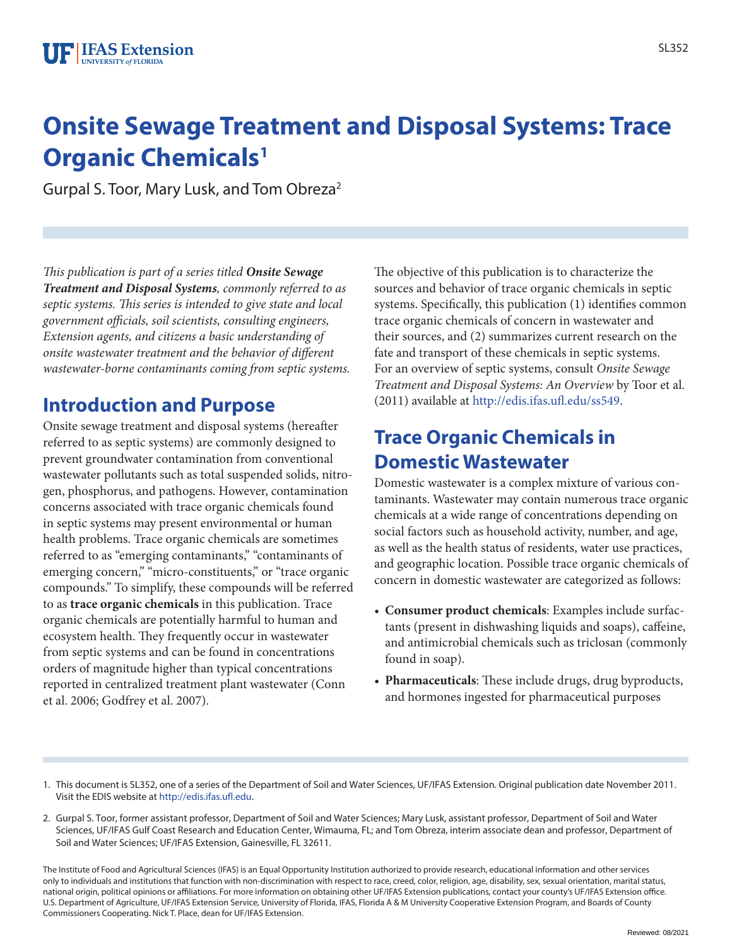# **Onsite Sewage Treatment and Disposal Systems: Trace Organic Chemicals<sup>1</sup>**

Gurpal S. Toor, Mary Lusk, and Tom Obreza2

*This publication is part of a series titled Onsite Sewage Treatment and Disposal Systems, commonly referred to as septic systems. This series is intended to give state and local government officials, soil scientists, consulting engineers, Extension agents, and citizens a basic understanding of onsite wastewater treatment and the behavior of different wastewater-borne contaminants coming from septic systems.*

### **Introduction and Purpose**

Onsite sewage treatment and disposal systems (hereafter referred to as septic systems) are commonly designed to prevent groundwater contamination from conventional wastewater pollutants such as total suspended solids, nitrogen, phosphorus, and pathogens. However, contamination concerns associated with trace organic chemicals found in septic systems may present environmental or human health problems. Trace organic chemicals are sometimes referred to as "emerging contaminants," "contaminants of emerging concern," "micro-constituents," or "trace organic compounds." To simplify, these compounds will be referred to as **trace organic chemicals** in this publication. Trace organic chemicals are potentially harmful to human and ecosystem health. They frequently occur in wastewater from septic systems and can be found in concentrations orders of magnitude higher than typical concentrations reported in centralized treatment plant wastewater (Conn et al. 2006; Godfrey et al. 2007).

The objective of this publication is to characterize the sources and behavior of trace organic chemicals in septic systems. Specifically, this publication (1) identifies common trace organic chemicals of concern in wastewater and their sources, and (2) summarizes current research on the fate and transport of these chemicals in septic systems. For an overview of septic systems, consult *Onsite Sewage Treatment and Disposal Systems: An Overview* by Toor et al. (2011) available at http://edis.ifas.ufl.edu/ss549.

## **Trace Organic Chemicals in Domestic Wastewater**

Domestic wastewater is a complex mixture of various contaminants. Wastewater may contain numerous trace organic chemicals at a wide range of concentrations depending on social factors such as household activity, number, and age, as well as the health status of residents, water use practices, and geographic location. Possible trace organic chemicals of concern in domestic wastewater are categorized as follows:

- **Consumer product chemicals**: Examples include surfactants (present in dishwashing liquids and soaps), caffeine, and antimicrobial chemicals such as triclosan (commonly found in soap).
- **Pharmaceuticals**: These include drugs, drug byproducts, and hormones ingested for pharmaceutical purposes

2. Gurpal S. Toor, former assistant professor, Department of Soil and Water Sciences; Mary Lusk, assistant professor, Department of Soil and Water Sciences, UF/IFAS Gulf Coast Research and Education Center, Wimauma, FL; and Tom Obreza, interim associate dean and professor, Department of Soil and Water Sciences; UF/IFAS Extension, Gainesville, FL 32611.

The Institute of Food and Agricultural Sciences (IFAS) is an Equal Opportunity Institution authorized to provide research, educational information and other services only to individuals and institutions that function with non-discrimination with respect to race, creed, color, religion, age, disability, sex, sexual orientation, marital status, national origin, political opinions or affiliations. For more information on obtaining other UF/IFAS Extension publications, contact your county's UF/IFAS Extension office. U.S. Department of Agriculture, UF/IFAS Extension Service, University of Florida, IFAS, Florida A & M University Cooperative Extension Program, and Boards of County Commissioners Cooperating. Nick T. Place, dean for UF/IFAS Extension.

<sup>1.</sup> This document is SL352, one of a series of the Department of Soil and Water Sciences, UF/IFAS Extension. Original publication date November 2011. Visit the EDIS website at http://edis.ifas.ufl.edu.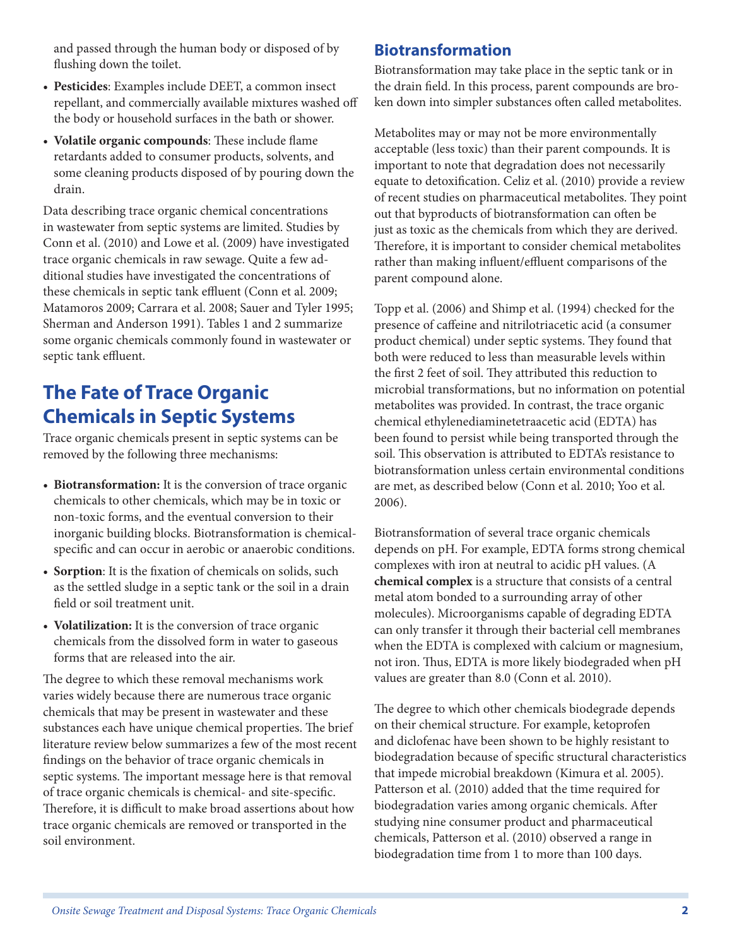and passed through the human body or disposed of by flushing down the toilet.

- **Pesticides**: Examples include DEET, a common insect repellant, and commercially available mixtures washed off the body or household surfaces in the bath or shower.
- **Volatile organic compounds**: These include flame retardants added to consumer products, solvents, and some cleaning products disposed of by pouring down the drain.

Data describing trace organic chemical concentrations in wastewater from septic systems are limited. Studies by Conn et al. (2010) and Lowe et al. (2009) have investigated trace organic chemicals in raw sewage. Quite a few additional studies have investigated the concentrations of these chemicals in septic tank effluent (Conn et al. 2009; Matamoros 2009; Carrara et al. 2008; Sauer and Tyler 1995; Sherman and Anderson 1991). Tables 1 and 2 summarize some organic chemicals commonly found in wastewater or septic tank effluent.

# **The Fate of Trace Organic Chemicals in Septic Systems**

Trace organic chemicals present in septic systems can be removed by the following three mechanisms:

- **Biotransformation:** It is the conversion of trace organic chemicals to other chemicals, which may be in toxic or non-toxic forms, and the eventual conversion to their inorganic building blocks. Biotransformation is chemicalspecific and can occur in aerobic or anaerobic conditions.
- **Sorption**: It is the fixation of chemicals on solids, such as the settled sludge in a septic tank or the soil in a drain field or soil treatment unit.
- **Volatilization:** It is the conversion of trace organic chemicals from the dissolved form in water to gaseous forms that are released into the air.

The degree to which these removal mechanisms work varies widely because there are numerous trace organic chemicals that may be present in wastewater and these substances each have unique chemical properties. The brief literature review below summarizes a few of the most recent findings on the behavior of trace organic chemicals in septic systems. The important message here is that removal of trace organic chemicals is chemical- and site-specific. Therefore, it is difficult to make broad assertions about how trace organic chemicals are removed or transported in the soil environment.

### **Biotransformation**

Biotransformation may take place in the septic tank or in the drain field. In this process, parent compounds are broken down into simpler substances often called metabolites.

Metabolites may or may not be more environmentally acceptable (less toxic) than their parent compounds. It is important to note that degradation does not necessarily equate to detoxification. Celiz et al. (2010) provide a review of recent studies on pharmaceutical metabolites. They point out that byproducts of biotransformation can often be just as toxic as the chemicals from which they are derived. Therefore, it is important to consider chemical metabolites rather than making influent/effluent comparisons of the parent compound alone.

Topp et al. (2006) and Shimp et al. (1994) checked for the presence of caffeine and nitrilotriacetic acid (a consumer product chemical) under septic systems. They found that both were reduced to less than measurable levels within the first 2 feet of soil. They attributed this reduction to microbial transformations, but no information on potential metabolites was provided. In contrast, the trace organic chemical ethylenediaminetetraacetic acid (EDTA) has been found to persist while being transported through the soil. This observation is attributed to EDTA's resistance to biotransformation unless certain environmental conditions are met, as described below (Conn et al. 2010; Yoo et al. 2006).

Biotransformation of several trace organic chemicals depends on pH. For example, EDTA forms strong chemical complexes with iron at neutral to acidic pH values. (A **chemical complex** is a structure that consists of a central metal atom bonded to a surrounding array of other molecules). Microorganisms capable of degrading EDTA can only transfer it through their bacterial cell membranes when the EDTA is complexed with calcium or magnesium, not iron. Thus, EDTA is more likely biodegraded when pH values are greater than 8.0 (Conn et al. 2010).

The degree to which other chemicals biodegrade depends on their chemical structure. For example, ketoprofen and diclofenac have been shown to be highly resistant to biodegradation because of specific structural characteristics that impede microbial breakdown (Kimura et al. 2005). Patterson et al. (2010) added that the time required for biodegradation varies among organic chemicals. After studying nine consumer product and pharmaceutical chemicals, Patterson et al. (2010) observed a range in biodegradation time from 1 to more than 100 days.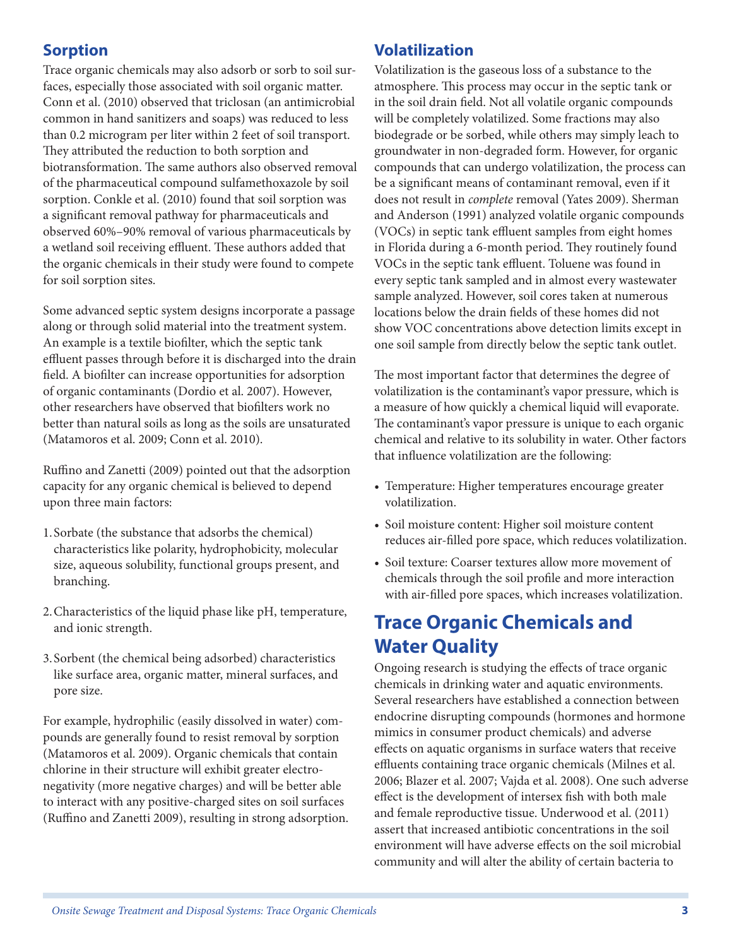### **Sorption**

Trace organic chemicals may also adsorb or sorb to soil surfaces, especially those associated with soil organic matter. Conn et al. (2010) observed that triclosan (an antimicrobial common in hand sanitizers and soaps) was reduced to less than 0.2 microgram per liter within 2 feet of soil transport. They attributed the reduction to both sorption and biotransformation. The same authors also observed removal of the pharmaceutical compound sulfamethoxazole by soil sorption. Conkle et al. (2010) found that soil sorption was a significant removal pathway for pharmaceuticals and observed 60%–90% removal of various pharmaceuticals by a wetland soil receiving effluent. These authors added that the organic chemicals in their study were found to compete for soil sorption sites.

Some advanced septic system designs incorporate a passage along or through solid material into the treatment system. An example is a textile biofilter, which the septic tank effluent passes through before it is discharged into the drain field. A biofilter can increase opportunities for adsorption of organic contaminants (Dordio et al. 2007). However, other researchers have observed that biofilters work no better than natural soils as long as the soils are unsaturated (Matamoros et al. 2009; Conn et al. 2010).

Ruffino and Zanetti (2009) pointed out that the adsorption capacity for any organic chemical is believed to depend upon three main factors:

- 1.Sorbate (the substance that adsorbs the chemical) characteristics like polarity, hydrophobicity, molecular size, aqueous solubility, functional groups present, and branching.
- 2.Characteristics of the liquid phase like pH, temperature, and ionic strength.
- 3.Sorbent (the chemical being adsorbed) characteristics like surface area, organic matter, mineral surfaces, and pore size.

For example, hydrophilic (easily dissolved in water) compounds are generally found to resist removal by sorption (Matamoros et al. 2009). Organic chemicals that contain chlorine in their structure will exhibit greater electronegativity (more negative charges) and will be better able to interact with any positive-charged sites on soil surfaces (Ruffino and Zanetti 2009), resulting in strong adsorption.

#### **Volatilization**

Volatilization is the gaseous loss of a substance to the atmosphere. This process may occur in the septic tank or in the soil drain field. Not all volatile organic compounds will be completely volatilized. Some fractions may also biodegrade or be sorbed, while others may simply leach to groundwater in non-degraded form. However, for organic compounds that can undergo volatilization, the process can be a significant means of contaminant removal, even if it does not result in *complete* removal (Yates 2009). Sherman and Anderson (1991) analyzed volatile organic compounds (VOCs) in septic tank effluent samples from eight homes in Florida during a 6-month period. They routinely found VOCs in the septic tank effluent. Toluene was found in every septic tank sampled and in almost every wastewater sample analyzed. However, soil cores taken at numerous locations below the drain fields of these homes did not show VOC concentrations above detection limits except in one soil sample from directly below the septic tank outlet.

The most important factor that determines the degree of volatilization is the contaminant's vapor pressure, which is a measure of how quickly a chemical liquid will evaporate. The contaminant's vapor pressure is unique to each organic chemical and relative to its solubility in water. Other factors that influence volatilization are the following:

- Temperature: Higher temperatures encourage greater volatilization.
- Soil moisture content: Higher soil moisture content reduces air-filled pore space, which reduces volatilization.
- Soil texture: Coarser textures allow more movement of chemicals through the soil profile and more interaction with air-filled pore spaces, which increases volatilization.

## **Trace Organic Chemicals and Water Quality**

Ongoing research is studying the effects of trace organic chemicals in drinking water and aquatic environments. Several researchers have established a connection between endocrine disrupting compounds (hormones and hormone mimics in consumer product chemicals) and adverse effects on aquatic organisms in surface waters that receive effluents containing trace organic chemicals (Milnes et al. 2006; Blazer et al. 2007; Vajda et al. 2008). One such adverse effect is the development of intersex fish with both male and female reproductive tissue. Underwood et al. (2011) assert that increased antibiotic concentrations in the soil environment will have adverse effects on the soil microbial community and will alter the ability of certain bacteria to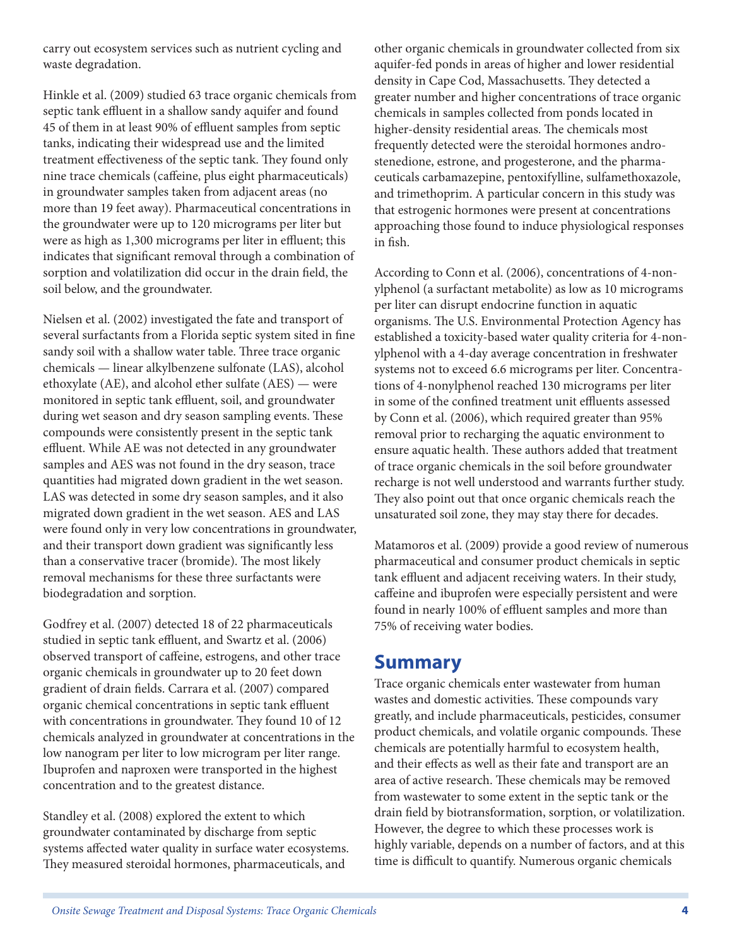carry out ecosystem services such as nutrient cycling and waste degradation.

Hinkle et al. (2009) studied 63 trace organic chemicals from septic tank effluent in a shallow sandy aquifer and found 45 of them in at least 90% of effluent samples from septic tanks, indicating their widespread use and the limited treatment effectiveness of the septic tank. They found only nine trace chemicals (caffeine, plus eight pharmaceuticals) in groundwater samples taken from adjacent areas (no more than 19 feet away). Pharmaceutical concentrations in the groundwater were up to 120 micrograms per liter but were as high as 1,300 micrograms per liter in effluent; this indicates that significant removal through a combination of sorption and volatilization did occur in the drain field, the soil below, and the groundwater.

Nielsen et al. (2002) investigated the fate and transport of several surfactants from a Florida septic system sited in fine sandy soil with a shallow water table. Three trace organic chemicals — linear alkylbenzene sulfonate (LAS), alcohol ethoxylate (AE), and alcohol ether sulfate (AES) — were monitored in septic tank effluent, soil, and groundwater during wet season and dry season sampling events. These compounds were consistently present in the septic tank effluent. While AE was not detected in any groundwater samples and AES was not found in the dry season, trace quantities had migrated down gradient in the wet season. LAS was detected in some dry season samples, and it also migrated down gradient in the wet season. AES and LAS were found only in very low concentrations in groundwater, and their transport down gradient was significantly less than a conservative tracer (bromide). The most likely removal mechanisms for these three surfactants were biodegradation and sorption.

Godfrey et al. (2007) detected 18 of 22 pharmaceuticals studied in septic tank effluent, and Swartz et al. (2006) observed transport of caffeine, estrogens, and other trace organic chemicals in groundwater up to 20 feet down gradient of drain fields. Carrara et al. (2007) compared organic chemical concentrations in septic tank effluent with concentrations in groundwater. They found 10 of 12 chemicals analyzed in groundwater at concentrations in the low nanogram per liter to low microgram per liter range. Ibuprofen and naproxen were transported in the highest concentration and to the greatest distance.

Standley et al. (2008) explored the extent to which groundwater contaminated by discharge from septic systems affected water quality in surface water ecosystems. They measured steroidal hormones, pharmaceuticals, and

other organic chemicals in groundwater collected from six aquifer-fed ponds in areas of higher and lower residential density in Cape Cod, Massachusetts. They detected a greater number and higher concentrations of trace organic chemicals in samples collected from ponds located in higher-density residential areas. The chemicals most frequently detected were the steroidal hormones androstenedione, estrone, and progesterone, and the pharmaceuticals carbamazepine, pentoxifylline, sulfamethoxazole, and trimethoprim. A particular concern in this study was that estrogenic hormones were present at concentrations approaching those found to induce physiological responses in fish.

According to Conn et al. (2006), concentrations of 4-nonylphenol (a surfactant metabolite) as low as 10 micrograms per liter can disrupt endocrine function in aquatic organisms. The U.S. Environmental Protection Agency has established a toxicity-based water quality criteria for 4-nonylphenol with a 4-day average concentration in freshwater systems not to exceed 6.6 micrograms per liter. Concentrations of 4-nonylphenol reached 130 micrograms per liter in some of the confined treatment unit effluents assessed by Conn et al. (2006), which required greater than 95% removal prior to recharging the aquatic environment to ensure aquatic health. These authors added that treatment of trace organic chemicals in the soil before groundwater recharge is not well understood and warrants further study. They also point out that once organic chemicals reach the unsaturated soil zone, they may stay there for decades.

Matamoros et al. (2009) provide a good review of numerous pharmaceutical and consumer product chemicals in septic tank effluent and adjacent receiving waters. In their study, caffeine and ibuprofen were especially persistent and were found in nearly 100% of effluent samples and more than 75% of receiving water bodies.

### **Summary**

Trace organic chemicals enter wastewater from human wastes and domestic activities. These compounds vary greatly, and include pharmaceuticals, pesticides, consumer product chemicals, and volatile organic compounds. These chemicals are potentially harmful to ecosystem health, and their effects as well as their fate and transport are an area of active research. These chemicals may be removed from wastewater to some extent in the septic tank or the drain field by biotransformation, sorption, or volatilization. However, the degree to which these processes work is highly variable, depends on a number of factors, and at this time is difficult to quantify. Numerous organic chemicals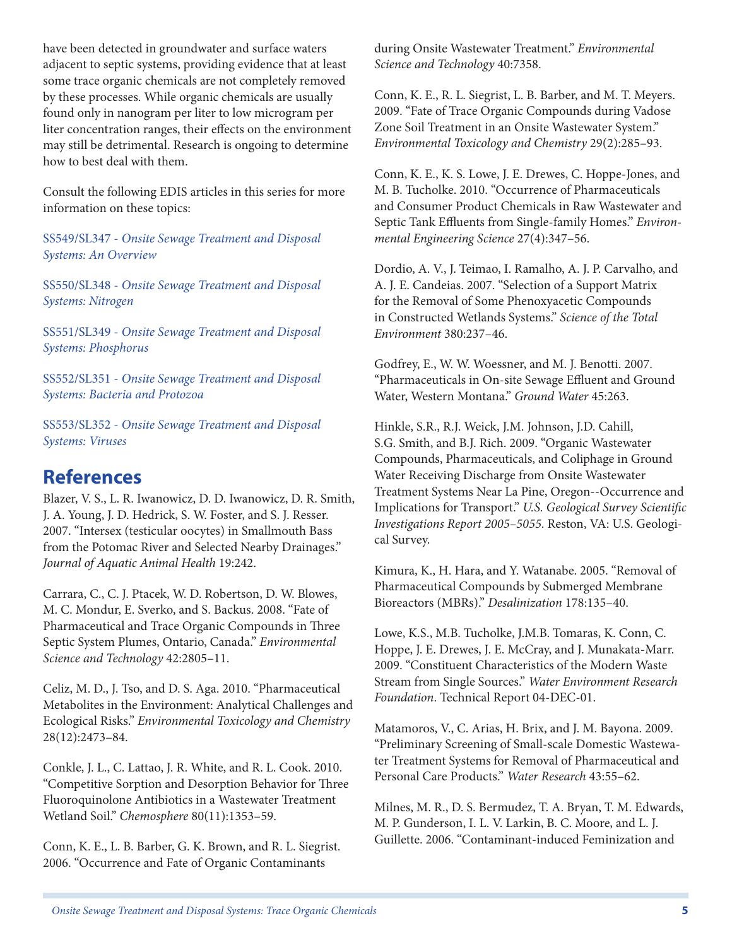have been detected in groundwater and surface waters adjacent to septic systems, providing evidence that at least some trace organic chemicals are not completely removed by these processes. While organic chemicals are usually found only in nanogram per liter to low microgram per liter concentration ranges, their effects on the environment may still be detrimental. Research is ongoing to determine how to best deal with them.

Consult the following EDIS articles in this series for more information on these topics:

SS549/SL347 - *Onsite Sewage Treatment and Disposal Systems: An Overview*

SS550/SL348 - *Onsite Sewage Treatment and Disposal Systems: Nitrogen*

SS551/SL349 - *Onsite Sewage Treatment and Disposal Systems: Phosphorus*

SS552/SL351 - *Onsite Sewage Treatment and Disposal Systems: Bacteria and Protozoa*

SS553/SL352 - *Onsite Sewage Treatment and Disposal Systems: Viruses*

### **References**

Blazer, V. S., L. R. Iwanowicz, D. D. Iwanowicz, D. R. Smith, J. A. Young, J. D. Hedrick, S. W. Foster, and S. J. Resser. 2007. "Intersex (testicular oocytes) in Smallmouth Bass from the Potomac River and Selected Nearby Drainages." *Journal of Aquatic Animal Health* 19:242.

Carrara, C., C. J. Ptacek, W. D. Robertson, D. W. Blowes, M. C. Mondur, E. Sverko, and S. Backus. 2008. "Fate of Pharmaceutical and Trace Organic Compounds in Three Septic System Plumes, Ontario, Canada." *Environmental Science and Technology* 42:2805–11.

Celiz, M. D., J. Tso, and D. S. Aga. 2010. "Pharmaceutical Metabolites in the Environment: Analytical Challenges and Ecological Risks." *Environmental Toxicology and Chemistry*  28(12):2473–84.

Conkle, J. L., C. Lattao, J. R. White, and R. L. Cook. 2010. "Competitive Sorption and Desorption Behavior for Three Fluoroquinolone Antibiotics in a Wastewater Treatment Wetland Soil." *Chemosphere* 80(11):1353–59.

Conn, K. E., L. B. Barber, G. K. Brown, and R. L. Siegrist. 2006. "Occurrence and Fate of Organic Contaminants

during Onsite Wastewater Treatment." *Environmental Science and Technology* 40:7358.

Conn, K. E., R. L. Siegrist, L. B. Barber, and M. T. Meyers. 2009. "Fate of Trace Organic Compounds during Vadose Zone Soil Treatment in an Onsite Wastewater System." *Environmental Toxicology and Chemistry* 29(2):285–93.

Conn, K. E., K. S. Lowe, J. E. Drewes, C. Hoppe-Jones, and M. B. Tucholke. 2010. "Occurrence of Pharmaceuticals and Consumer Product Chemicals in Raw Wastewater and Septic Tank Effluents from Single-family Homes." *Environmental Engineering Science* 27(4):347–56.

Dordio, A. V., J. Teimao, I. Ramalho, A. J. P. Carvalho, and A. J. E. Candeias. 2007. "Selection of a Support Matrix for the Removal of Some Phenoxyacetic Compounds in Constructed Wetlands Systems." *Science of the Total Environment* 380:237–46.

Godfrey, E., W. W. Woessner, and M. J. Benotti. 2007. "Pharmaceuticals in On-site Sewage Effluent and Ground Water, Western Montana." *Ground Water* 45:263.

Hinkle, S.R., R.J. Weick, J.M. Johnson, J.D. Cahill, S.G. Smith, and B.J. Rich. 2009. "Organic Wastewater Compounds, Pharmaceuticals, and Coliphage in Ground Water Receiving Discharge from Onsite Wastewater Treatment Systems Near La Pine, Oregon--Occurrence and Implications for Transport." *U.S. Geological Survey Scientific Investigations Report 2005–5055*. Reston, VA: U.S. Geological Survey.

Kimura, K., H. Hara, and Y. Watanabe. 2005. "Removal of Pharmaceutical Compounds by Submerged Membrane Bioreactors (MBRs)." *Desalinization* 178:135–40.

Lowe, K.S., M.B. Tucholke, J.M.B. Tomaras, K. Conn, C. Hoppe, J. E. Drewes, J. E. McCray, and J. Munakata-Marr. 2009. "Constituent Characteristics of the Modern Waste Stream from Single Sources." *Water Environment Research Foundation*. Technical Report 04-DEC-01.

Matamoros, V., C. Arias, H. Brix, and J. M. Bayona. 2009. "Preliminary Screening of Small-scale Domestic Wastewater Treatment Systems for Removal of Pharmaceutical and Personal Care Products." *Water Research* 43:55–62.

Milnes, M. R., D. S. Bermudez, T. A. Bryan, T. M. Edwards, M. P. Gunderson, I. L. V. Larkin, B. C. Moore, and L. J. Guillette. 2006. "Contaminant-induced Feminization and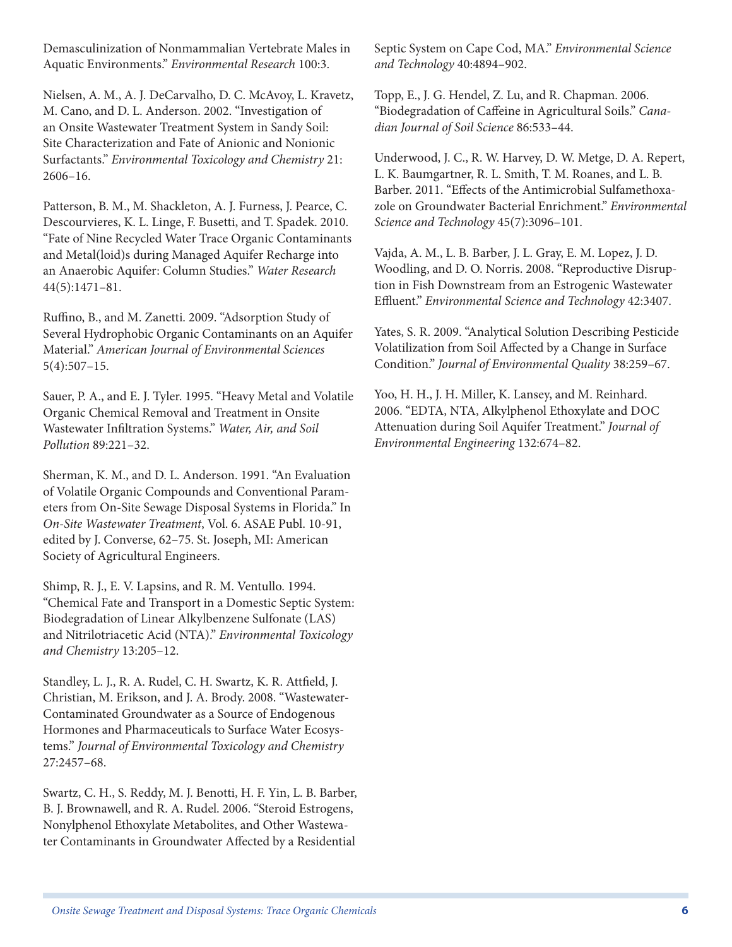Demasculinization of Nonmammalian Vertebrate Males in Aquatic Environments." *Environmental Research* 100:3.

Nielsen, A. M., A. J. DeCarvalho, D. C. McAvoy, L. Kravetz, M. Cano, and D. L. Anderson. 2002. "Investigation of an Onsite Wastewater Treatment System in Sandy Soil: Site Characterization and Fate of Anionic and Nonionic Surfactants." *Environmental Toxicology and Chemistry* 21: 2606–16.

Patterson, B. M., M. Shackleton, A. J. Furness, J. Pearce, C. Descourvieres, K. L. Linge, F. Busetti, and T. Spadek. 2010. "Fate of Nine Recycled Water Trace Organic Contaminants and Metal(loid)s during Managed Aquifer Recharge into an Anaerobic Aquifer: Column Studies." *Water Research*  44(5):1471–81.

Ruffino, B., and M. Zanetti. 2009. "Adsorption Study of Several Hydrophobic Organic Contaminants on an Aquifer Material." *American Journal of Environmental Sciences*  5(4):507–15.

Sauer, P. A., and E. J. Tyler. 1995. "Heavy Metal and Volatile Organic Chemical Removal and Treatment in Onsite Wastewater Infiltration Systems." *Water, Air, and Soil Pollution* 89:221–32.

Sherman, K. M., and D. L. Anderson. 1991. "An Evaluation of Volatile Organic Compounds and Conventional Parameters from On-Site Sewage Disposal Systems in Florida." In *On-Site Wastewater Treatment*, Vol. 6. ASAE Publ. 10-91, edited by J. Converse, 62–75. St. Joseph, MI: American Society of Agricultural Engineers.

Shimp, R. J., E. V. Lapsins, and R. M. Ventullo. 1994. "Chemical Fate and Transport in a Domestic Septic System: Biodegradation of Linear Alkylbenzene Sulfonate (LAS) and Nitrilotriacetic Acid (NTA)." *Environmental Toxicology and Chemistry* 13:205–12.

Standley, L. J., R. A. Rudel, C. H. Swartz, K. R. Attfield, J. Christian, M. Erikson, and J. A. Brody. 2008. "Wastewater-Contaminated Groundwater as a Source of Endogenous Hormones and Pharmaceuticals to Surface Water Ecosystems." *Journal of Environmental Toxicology and Chemistry*  27:2457–68.

Swartz, C. H., S. Reddy, M. J. Benotti, H. F. Yin, L. B. Barber, B. J. Brownawell, and R. A. Rudel. 2006. "Steroid Estrogens, Nonylphenol Ethoxylate Metabolites, and Other Wastewater Contaminants in Groundwater Affected by a Residential

Septic System on Cape Cod, MA." *Environmental Science and Technology* 40:4894–902.

Topp, E., J. G. Hendel, Z. Lu, and R. Chapman. 2006. "Biodegradation of Caffeine in Agricultural Soils." *Canadian Journal of Soil Science* 86:533–44.

Underwood, J. C., R. W. Harvey, D. W. Metge, D. A. Repert, L. K. Baumgartner, R. L. Smith, T. M. Roanes, and L. B. Barber. 2011. "Effects of the Antimicrobial Sulfamethoxazole on Groundwater Bacterial Enrichment." *Environmental Science and Technology* 45(7):3096–101.

Vajda, A. M., L. B. Barber, J. L. Gray, E. M. Lopez, J. D. Woodling, and D. O. Norris. 2008. "Reproductive Disruption in Fish Downstream from an Estrogenic Wastewater Effluent." *Environmental Science and Technology* 42:3407.

Yates, S. R. 2009. "Analytical Solution Describing Pesticide Volatilization from Soil Affected by a Change in Surface Condition." *Journal of Environmental Quality* 38:259–67.

Yoo, H. H., J. H. Miller, K. Lansey, and M. Reinhard. 2006. "EDTA, NTA, Alkylphenol Ethoxylate and DOC Attenuation during Soil Aquifer Treatment." *Journal of Environmental Engineering* 132:674–82.